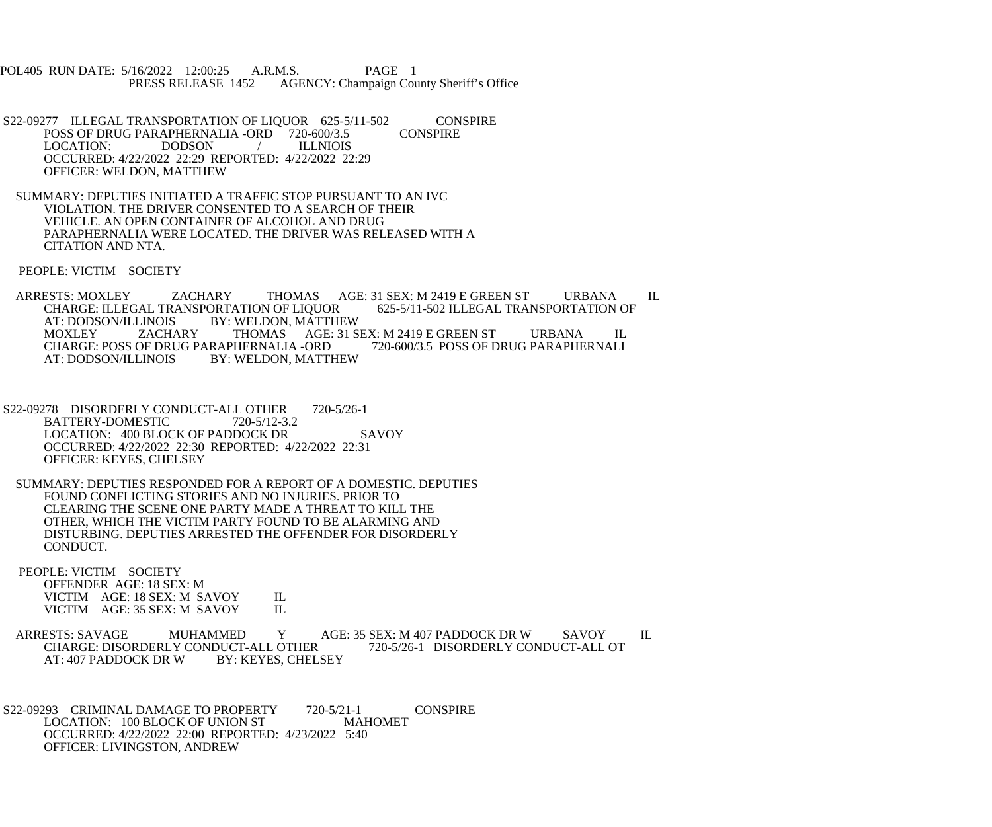POL405 RUN DATE: 5/16/2022 12:00:25 A.R.M.S. PAGE 1<br>PRESS RELEASE 1452 AGENCY: Champaign Cou AGENCY: Champaign County Sheriff's Office

S22-09277 ILLEGAL TRANSPORTATION OF LIQUOR 625-5/11-502 CONSPIRE<br>POSS OF DRUG PARAPHERNALIA -ORD 720-600/3.5 CONSPIRE POSS OF DRUG PARAPHERNALIA -ORD 720-600/3.5 LOCATION: DODSON / ILLNIOIS OCCURRED: 4/22/2022 22:29 REPORTED: 4/22/2022 22:29 OFFICER: WELDON, MATTHEW

 SUMMARY: DEPUTIES INITIATED A TRAFFIC STOP PURSUANT TO AN IVC VIOLATION. THE DRIVER CONSENTED TO A SEARCH OF THEIR VEHICLE. AN OPEN CONTAINER OF ALCOHOL AND DRUG PARAPHERNALIA WERE LOCATED. THE DRIVER WAS RELEASED WITH A CITATION AND NTA.

PEOPLE: VICTIM SOCIETY

 ARRESTS: MOXLEY ZACHARY THOMAS AGE: 31 SEX: M 2419 E GREEN ST URBANA IL CHARGE: ILLEGAL TRANSPORTATION OF LIQUOR<br>AT: DODSON/ILLINOIS BY: WELDON, MATTHI AT: DODSON/ILLINOIS BY: WELDON, MATTHEW<br>MOXLEY ZACHARY THOMAS AGE: 31 S THOMAS AGE: 31 SEX: M 2419 E GREEN ST URBANA IL<br>PHERNALIA -ORD 720-600/3.5 POSS OF DRUG PARAPHERNALI CHARGE: POSS OF DRUG PARAPHERNALIA -ORD<br>AT: DODSON/ILLINOIS BY: WELDON. MATTI BY: WELDON, MATTHEW

S22-09278 DISORDERLY CONDUCT-ALL OTHER 720-5/26-1 BATTERY-DOMESTIC 720-5/12-3.2 LOCATION: 400 BLOCK OF PADDOCK DR SAVOY OCCURRED: 4/22/2022 22:30 REPORTED: 4/22/2022 22:31 OFFICER: KEYES, CHELSEY

 SUMMARY: DEPUTIES RESPONDED FOR A REPORT OF A DOMESTIC. DEPUTIES FOUND CONFLICTING STORIES AND NO INJURIES. PRIOR TO CLEARING THE SCENE ONE PARTY MADE A THREAT TO KILL THE OTHER, WHICH THE VICTIM PARTY FOUND TO BE ALARMING AND DISTURBING. DEPUTIES ARRESTED THE OFFENDER FOR DISORDERLY CONDUCT.

 PEOPLE: VICTIM SOCIETY OFFENDER AGE: 18 SEX: M VICTIM AGE: 18 SEX: M SAVOY IL<br>VICTIM AGE: 35 SEX: M SAVOY IL VICTIM AGE: 35 SEX: M SAVOY

ARRESTS: SAVAGE MUHAMMED Y AGE: 35 SEX: M 407 PADDOCK DR W SAVOY IL<br>CHARGE: DISORDERLY CONDUCT-ALL OTHER 720-5/26-1 DISORDERLY CONDUCT-ALL OT CHARGE: DISORDERLY CONDUCT-ALL OTHER<br>AT: 407 PADDOCK DR W BY: KEYES, CHELSEY AT: 407 PADDOCK DR W

S22-09293 CRIMINAL DAMAGE TO PROPERTY 720-5/21-1 CONSPIRE<br>LOCATION: 100 BLOCK OF UNION ST MAHOMET LOCATION: 100 BLOCK OF UNION ST OCCURRED: 4/22/2022 22:00 REPORTED: 4/23/2022 5:40 OFFICER: LIVINGSTON, ANDREW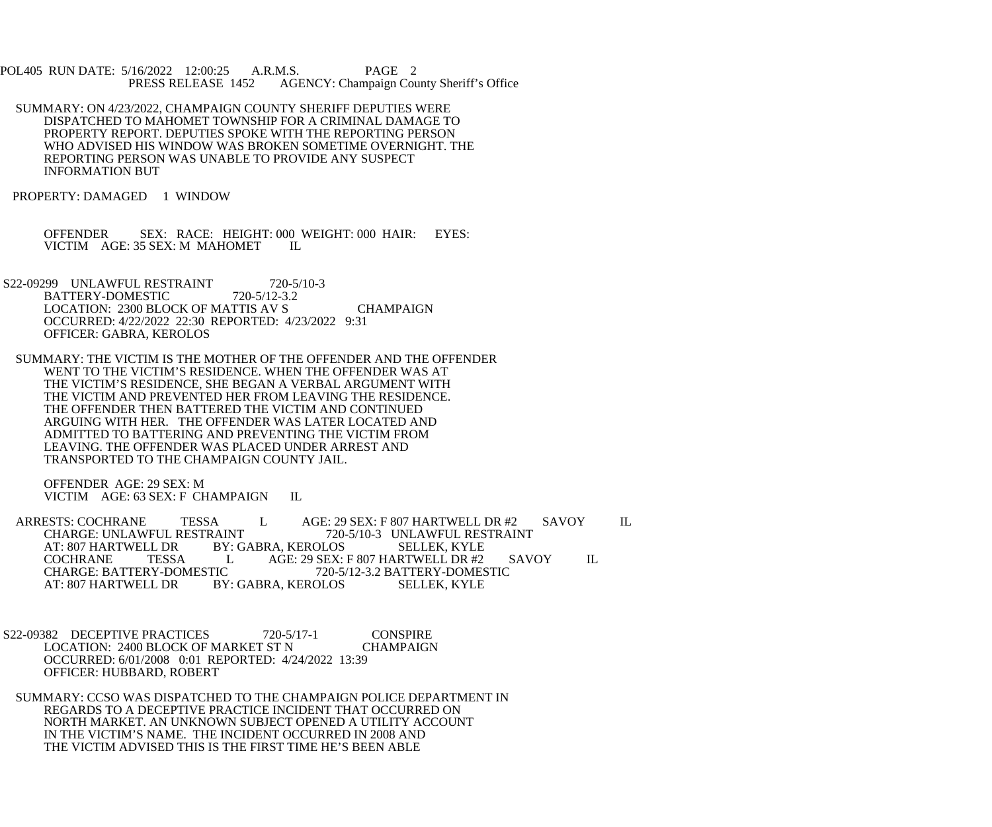POL405 RUN DATE: 5/16/2022 12:00:25 A.R.M.S. PAGE 2<br>PRESS RELEASE 1452 AGENCY: Champaign Cou AGENCY: Champaign County Sheriff's Office

 SUMMARY: ON 4/23/2022, CHAMPAIGN COUNTY SHERIFF DEPUTIES WERE DISPATCHED TO MAHOMET TOWNSHIP FOR A CRIMINAL DAMAGE TO PROPERTY REPORT. DEPUTIES SPOKE WITH THE REPORTING PERSON WHO ADVISED HIS WINDOW WAS BROKEN SOMETIME OVERNIGHT. THE REPORTING PERSON WAS UNABLE TO PROVIDE ANY SUSPECT INFORMATION BUT

PROPERTY: DAMAGED 1 WINDOW

OFFENDER SEX: RACE: HEIGHT: 000 WEIGHT: 000 HAIR: EYES: VICTIM AGE: 35 SEX: M MAHOMET IL VICTIM AGE: 35 SEX: M MAHOMET

- S22-09299 UNLAWFUL RESTRAINT 720-5/10-3<br>BATTERY-DOMESTIC 720-5/12-3.2 BATTERY-DOMESTIC LOCATION: 2300 BLOCK OF MATTIS AV S CHAMPAIGN OCCURRED: 4/22/2022 22:30 REPORTED: 4/23/2022 9:31 OFFICER: GABRA, KEROLOS
	- SUMMARY: THE VICTIM IS THE MOTHER OF THE OFFENDER AND THE OFFENDER WENT TO THE VICTIM'S RESIDENCE. WHEN THE OFFENDER WAS AT THE VICTIM'S RESIDENCE, SHE BEGAN A VERBAL ARGUMENT WITH THE VICTIM AND PREVENTED HER FROM LEAVING THE RESIDENCE. THE OFFENDER THEN BATTERED THE VICTIM AND CONTINUED ARGUING WITH HER. THE OFFENDER WAS LATER LOCATED AND ADMITTED TO BATTERING AND PREVENTING THE VICTIM FROM LEAVING. THE OFFENDER WAS PLACED UNDER ARREST AND TRANSPORTED TO THE CHAMPAIGN COUNTY JAIL.

 OFFENDER AGE: 29 SEX: M VICTIM AGE: 63 SEX: F CHAMPAIGN IL

ARRESTS: COCHRANE TESSA L AGE: 29 SEX: F 807 HARTWELL DR #2 SAVOY IL CHARGE: UNLAWFUL RESTRAINT 720-5/10-3 UNLAWFUL RESTRAINT CHARGE: UNLAWFUL RESTRAINT 720-5/10-3 UNLAWFUL RESTRAINT<br>AT: 807 HARTWELL DR BY: GABRA. KEROLOS SELLEK. KYLE LL DR BY: GABRA, KEROLOS<br>TESSA L AGE: 29 SEX: COCHRANE TESSA L AGE: 29 SEX: F 807 HARTWELL DR #2 SAVOY IL CHARGE: BATTERY-DOMESTIC 720-5/12-3.2 BATTERY-DOMESTIC CHARGE: BATTERY-DOMESTIC 720-5/12-3.2 BATTERY-DOMESTIC<br>AT: 807 HARTWELL DR BY: GABRA, KEROLOS SELLEK, KYLE BY: GABRA, KEROLOS

 S22-09382 DECEPTIVE PRACTICES 720-5/17-1 CONSPIRE LOCATION: 2400 BLOCK OF MARKET ST N CHAMPAIGN OCCURRED: 6/01/2008 0:01 REPORTED: 4/24/2022 13:39 OFFICER: HUBBARD, ROBERT

 SUMMARY: CCSO WAS DISPATCHED TO THE CHAMPAIGN POLICE DEPARTMENT IN REGARDS TO A DECEPTIVE PRACTICE INCIDENT THAT OCCURRED ON NORTH MARKET. AN UNKNOWN SUBJECT OPENED A UTILITY ACCOUNT IN THE VICTIM'S NAME. THE INCIDENT OCCURRED IN 2008 AND THE VICTIM ADVISED THIS IS THE FIRST TIME HE'S BEEN ABLE